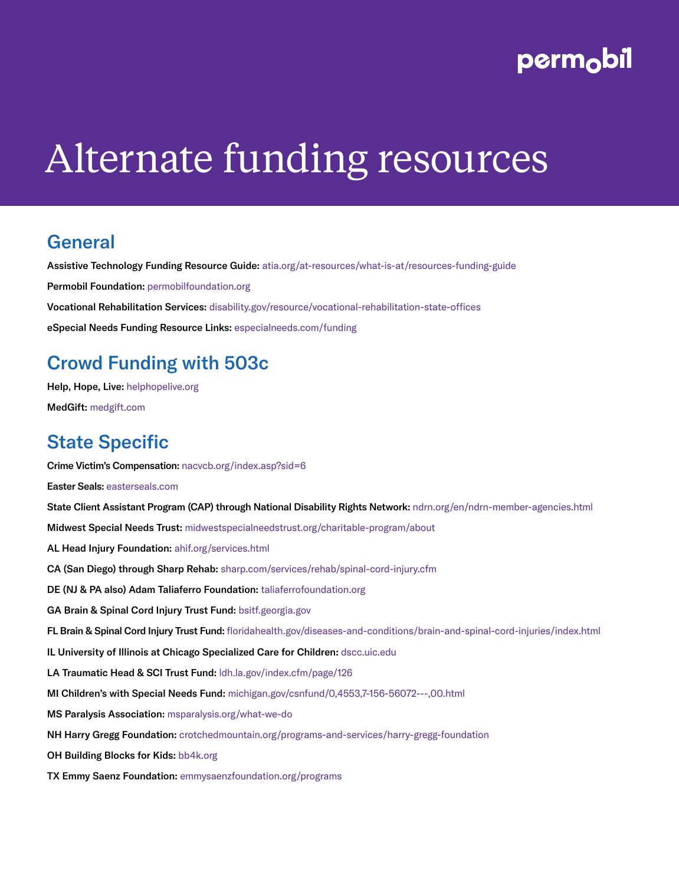# perm<sub>o</sub>bil

# Alternate funding resources

#### **General**

Assistive Technology Funding Resource Guide: [atia.org/at-resources/what-is-at/resources-funding-guide](http://atia.org/at-resources/what-is-at/resources-funding-guide) Permobil Foundation: [permobilfoundation.org](http://permobilfoundation.org) Vocational Rehabilitation Services: [disability.gov/resource/vocational-rehabilitation-state-offices](http://disability.gov/resource/vocational-rehabilitation-state-offices) eSpecial Needs Funding Resource Links: [especialneeds.com/funding](http://especialneeds.com/funding)

# Crowd Funding with 503c

Help, Hope, Live: [helphopelive.org](http://helphopelive.org)

MedGift: [medgift.com](http://medgift.com)

#### State Specific

Crime Victim's Compensation: [nacvcb.org/index.asp?sid=6](http://nacvcb.org/index.asp?sid=6)

Easter Seals: [easterseals.com](http://easterseals.com)

State Client Assistant Program (CAP) through National Disability Rights Network: [ndrn.org/en/ndrn-member-agencies.html](http://ndrn.org/en/ndrn-member-agencies.html)

Midwest Special Needs Trust: [midwestspecialneedstrust.org/charitable-program/about](http://midwestspecialneedstrust.org/charitable-program/about)

AL Head Injury Foundation: [ahif.org/services.html](http://www.ahif.org/services.html)

CA (San Diego) through Sharp Rehab: [sharp.com/services/rehab/spinal-cord-injury.cfm](http://sharp.com/services/rehab/spinal-cord-injury.cfm)

DE (NJ & PA also) Adam Taliaferro Foundation: [taliaferrofoundation.org](http://taliaferrofoundation.org)

GA Brain & Spinal Cord Injury Trust Fund: [bsitf.georgia.gov](http://bsitf.georgia.gov)

FL Brain & Spinal Cord Injury Trust Fund: [floridahealth.gov/diseases-and-conditions/brain-and-spinal-cord-injuries/index.html](http://floridahealth.gov/diseases-and-conditions/brain-and-spinal-cord-injuries/index.html)

IL University of Illinois at Chicago Specialized Care for Children: [dscc.uic.edu](http://dscc.uic.edu)

LA Traumatic Head & SCI Trust Fund: [ldh.la.gov/index.cfm/page/126](http://ldh.la.gov/index.cfm/page/126)

MI Children's with Special Needs Fund: [michigan.gov/csnfund/0,4553,7-156-56072---,00.html](http://michigan.gov/csnfund/0,4553,7-156-56072---,00.html)

MS Paralysis Association: [msparalysis.org/what-we-do](http://msparalysis.org/what-we-do)

NH Harry Gregg Foundation: [crotchedmountain.org/programs-and-services/harry-gregg-foundation](http://crotchedmountain.org/programs-and-services/harry-gregg-foundation)

OH Building Blocks for Kids: [bb4k.org](http://bb4k.org)

TX Emmy Saenz Foundation: [emmysaenzfoundation.org/programs](http://www.emmysaenzfoundation.org/programs)